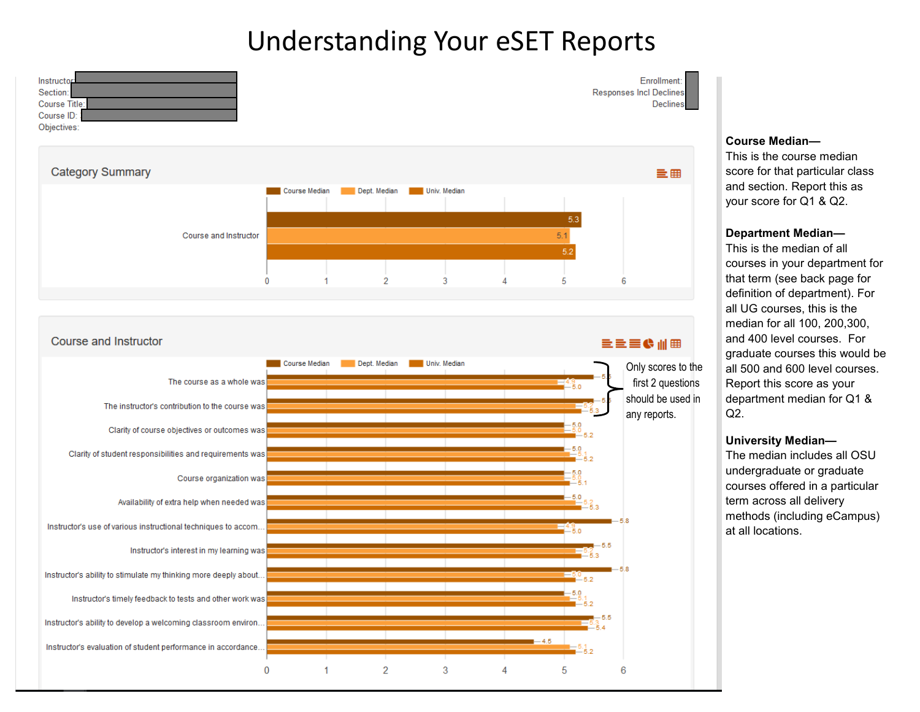# Understanding Your eSET Reports



 $\overline{2}$ 

3

5

6

Instructor's timely feedback to tests and other work was

 $\mathbf{0}$ 

Instructor's ability to develop a welcoming classroom environ..

Instructor's evaluation of student performance in accordance..

#### **Course Median—**

This is the course median score for that particular class and section. Report this as your score for Q1 & Q2.

#### **Department Median—**

This is the median of all courses in your department for that term (see back page for definition of department). For all UG courses, this is the median for all 100, 200,300, and 400 level courses. For graduate courses this would be all 500 and 600 level courses. Report this score as your department median for Q1 &  $Q2$ .

#### **University Median—**

The median includes all OSU undergraduate or graduate courses offered in a particular term across all delivery methods (including eCampus) at all locations.